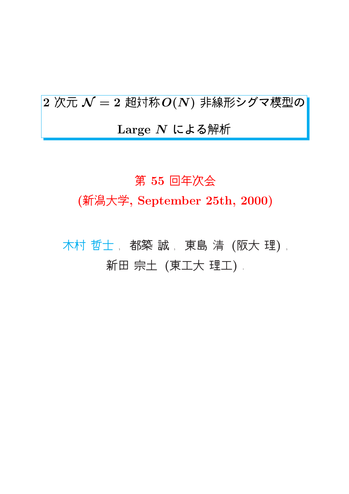$2\,\overline{2}\,\overline{\mathcal{K}}\,\overline{\mathcal{N}}=2\,\mathop{\mathrm{E}\mathrm{S}\mathrm{F}}\overline{\mathcal{N}}\,\overline{\mathcal{O}(N)}$  非線形シグマ模型の Large  $N$  による解析

#### 第 55 回年次会

(新潟大学, September 25th, 2000)

木村 哲士, 都築 誠, 東島 清 (阪大理), 新田 宗土 (東工大 理工) .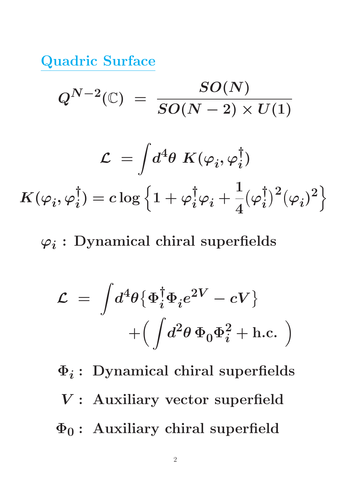Quadric Surface

$$
Q^{N-2}(\mathbb{C})\ =\ \frac{SO(N)}{SO(N-2)\times U(1)}
$$

$$
\mathcal{L} = \int \! d^4 \theta \ K(\varphi_i, \varphi_i^{\dagger})
$$
  

$$
K(\varphi_i, \varphi_i^{\dagger}) = c \log \left\{ 1 + \varphi_i^{\dagger} \varphi_i + \frac{1}{4} (\varphi_i^{\dagger})^2 (\varphi_i)^2 \right\}
$$

 $\varphi_i:$  Dynamical chiral superfields

$$
\mathcal{L} = \int d^4\theta \{ \Phi_i^{\dagger} \Phi_i e^{2V} - cV \} + \left( \int d^2\theta \, \Phi_0 \Phi_i^2 + \text{h.c.} \right)
$$

$$
\Phi_i
$$
: Dynamical chiral superfields  
\n $V$ : Auxiliary vector superfield  
\n $\Phi_0$ : Auxiliary chiral superfield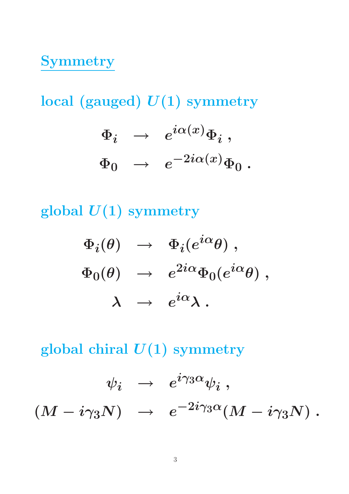# Symmetry

local (gauged)  $U(1)$  symmetry

$$
\begin{array}{rcl} \Phi_i & \rightarrow & e^{i\alpha(x)}\Phi_i \; , \\[2mm] \Phi_0 & \rightarrow & e^{-2i\alpha(x)}\Phi_0 \; . \end{array}
$$

global  $U(1)$  symmetry

$$
\begin{array}{rcl}\n\Phi_i(\theta) & \rightarrow & \Phi_i(e^{i\alpha}\theta) ,\\ \n\Phi_0(\theta) & \rightarrow & e^{2i\alpha}\Phi_0(e^{i\alpha}\theta) ,\\ \n\lambda & \rightarrow & e^{i\alpha}\lambda \ .\n\end{array}
$$

global chiral  $U(1)$  symmetry

$$
\psi_i\;\;\rightarrow\;\;e^{i\gamma_3\alpha}\psi_i\;,\\ (M-i\gamma_3N)\;\;\rightarrow\;\;e^{-2i\gamma_3\alpha}(M-i\gamma_3N)\;.
$$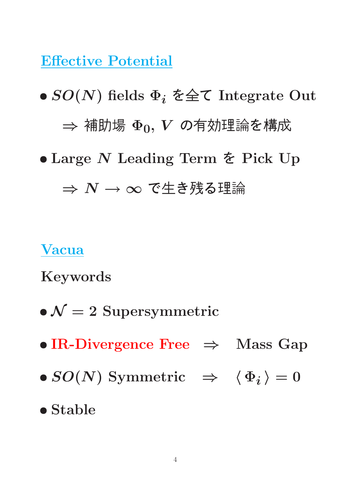Effective Potential

•  $SO(N)$  fields  $\Phi_i$   $\xi \triangleq \zeta$  Integrate Out ⇒ 補助場 Φ0, V の有効理論を構成 • Large N Leading Term を Pick Up

 $\Rightarrow N \rightarrow \infty$  で牛き残る理論

#### Vacua

Keywords

- $\bullet \mathcal{N}=2$  Supersymmetric
- IR-Divergence Free  $\Rightarrow$  Mass Gap
- $SO(N)$  Symmetric  $\Rightarrow$   $\langle \Phi_i \rangle = 0$
- Stable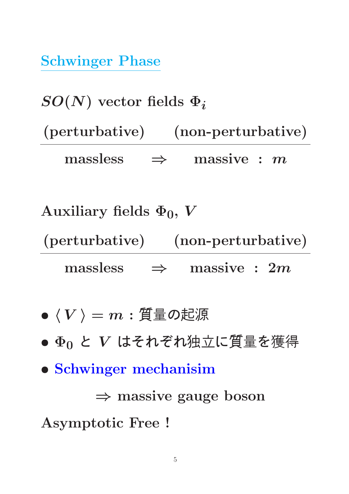Schwinger Phase

 $SO(N)$  vector fields  $\Phi_i$ (perturbative) (non-perturbative)  $massless \Rightarrow massive : m$ 

Auxiliary fields  $\Phi_0$ , V (perturbative) (non-perturbative)  $massless \Rightarrow$  massive : 2m

$$
\bullet\;\langle\,V\,\rangle=m:\Xi\!\!\!\!\!\!/ \;\bar{\!\!\text{I\hspace{-1.2mm}E}}\,\sigma\text{\hbox{\small$\ddot{\hbox{\small$E$}}$}\,\bar{\!\!\text{I\hspace{-1.2mm}E}}\,
$$

- $\bullet$   $\Phi_0$  と  $V$  はそれぞれ独立に質量を獲得
- Schwinger mechanisim

⇒ massive gauge boson

Asymptotic Free !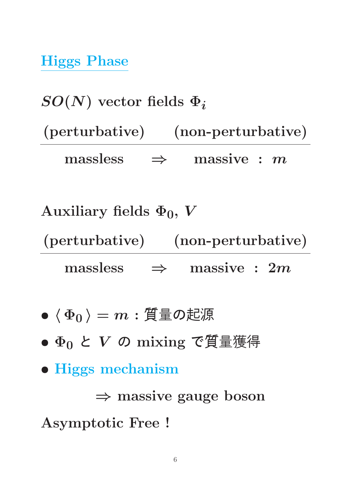Higgs Phase

 $SO(N)$  vector fields  $\Phi_i$ (perturbative) (non-perturbative)  $massless \Rightarrow massive : m$ 

Auxiliary fields  $\Phi_0$ , V (perturbative) (non-perturbative)  $massless \Rightarrow massive : 2m$ 

$$
\bullet\,\left<\,\Phi_0\,\right>=m : \widetilde{\mathrm{H}}\,\bar{\mathrm{\Xi}}\,\mathcal{O}
$$
起源

- $\Phi_0 \lt V$  の mixing で質量獲得
- Higgs mechanism

⇒ massive gauge boson

Asymptotic Free !